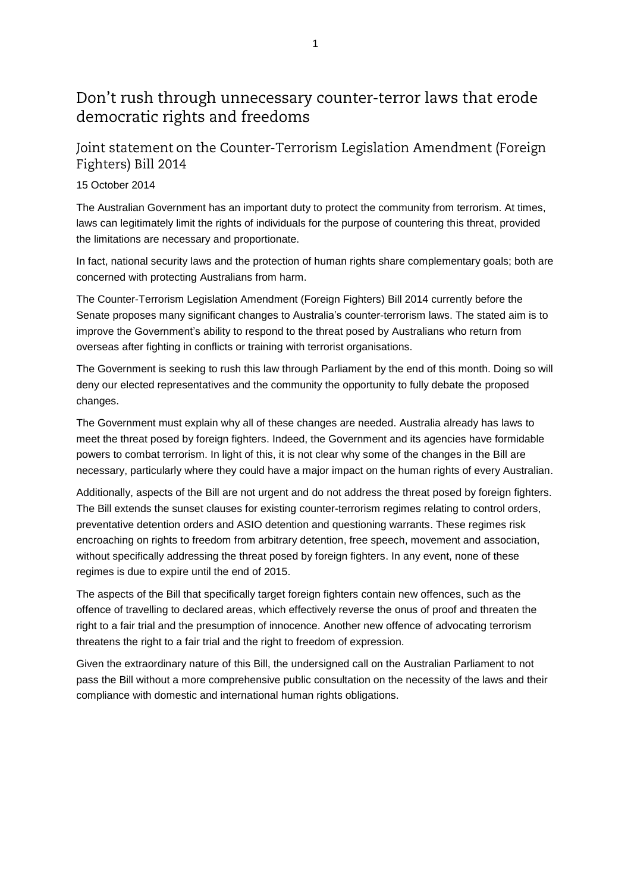## Don't rush through unnecessary counter-terror laws that erode democratic rights and freedoms

Joint statement on the Counter-Terrorism Legislation Amendment (Foreign Fighters) Bill 2014

## 15 October 2014

The Australian Government has an important duty to protect the community from terrorism. At times, laws can legitimately limit the rights of individuals for the purpose of countering this threat, provided the limitations are necessary and proportionate.

In fact, national security laws and the protection of human rights share complementary goals; both are concerned with protecting Australians from harm.

The Counter-Terrorism Legislation Amendment (Foreign Fighters) Bill 2014 currently before the Senate proposes many significant changes to Australia's counter-terrorism laws. The stated aim is to improve the Government's ability to respond to the threat posed by Australians who return from overseas after fighting in conflicts or training with terrorist organisations.

The Government is seeking to rush this law through Parliament by the end of this month. Doing so will deny our elected representatives and the community the opportunity to fully debate the proposed changes.

The Government must explain why all of these changes are needed. Australia already has laws to meet the threat posed by foreign fighters. Indeed, the Government and its agencies have formidable powers to combat terrorism. In light of this, it is not clear why some of the changes in the Bill are necessary, particularly where they could have a major impact on the human rights of every Australian.

Additionally, aspects of the Bill are not urgent and do not address the threat posed by foreign fighters. The Bill extends the sunset clauses for existing counter-terrorism regimes relating to control orders, preventative detention orders and ASIO detention and questioning warrants. These regimes risk encroaching on rights to freedom from arbitrary detention, free speech, movement and association, without specifically addressing the threat posed by foreign fighters. In any event, none of these regimes is due to expire until the end of 2015.

The aspects of the Bill that specifically target foreign fighters contain new offences, such as the offence of travelling to declared areas, which effectively reverse the onus of proof and threaten the right to a fair trial and the presumption of innocence. Another new offence of advocating terrorism threatens the right to a fair trial and the right to freedom of expression.

Given the extraordinary nature of this Bill, the undersigned call on the Australian Parliament to not pass the Bill without a more comprehensive public consultation on the necessity of the laws and their compliance with domestic and international human rights obligations.